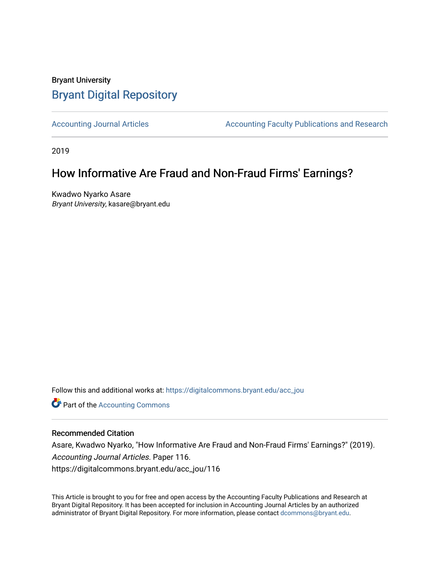# Bryant University [Bryant Digital Repository](https://digitalcommons.bryant.edu/)

[Accounting Journal Articles](https://digitalcommons.bryant.edu/acc_jou) **Accounting Faculty Publications and Research** Accounting Faculty Publications and Research

2019

# How Informative Are Fraud and Non-Fraud Firms' Earnings?

Kwadwo Nyarko Asare Bryant University, kasare@bryant.edu

Follow this and additional works at: [https://digitalcommons.bryant.edu/acc\\_jou](https://digitalcommons.bryant.edu/acc_jou?utm_source=digitalcommons.bryant.edu%2Facc_jou%2F116&utm_medium=PDF&utm_campaign=PDFCoverPages)

Part of the [Accounting Commons](http://network.bepress.com/hgg/discipline/625?utm_source=digitalcommons.bryant.edu%2Facc_jou%2F116&utm_medium=PDF&utm_campaign=PDFCoverPages)

# Recommended Citation

Asare, Kwadwo Nyarko, "How Informative Are Fraud and Non-Fraud Firms' Earnings?" (2019). Accounting Journal Articles. Paper 116. https://digitalcommons.bryant.edu/acc\_jou/116

This Article is brought to you for free and open access by the Accounting Faculty Publications and Research at Bryant Digital Repository. It has been accepted for inclusion in Accounting Journal Articles by an authorized administrator of Bryant Digital Repository. For more information, please contact [dcommons@bryant.edu](mailto:dcommons@bryant.edu).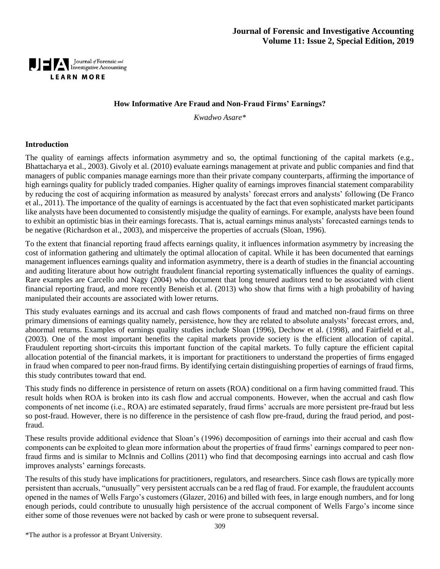

#### **How Informative Are Fraud and Non-Fraud Firms' Earnings?**

*Kwadwo Asare\**

#### **Introduction**

The quality of earnings affects information asymmetry and so, the optimal functioning of the capital markets (e.g., Bhattacharya et al., 2003). Givoly et al. (2010) evaluate earnings management at private and public companies and find that managers of public companies manage earnings more than their private company counterparts, affirming the importance of high earnings quality for publicly traded companies. Higher quality of earnings improves financial statement comparability by reducing the cost of acquiring information as measured by analysts' forecast errors and analysts' following (De Franco et al., 2011). The importance of the quality of earnings is accentuated by the fact that even sophisticated market participants like analysts have been documented to consistently misjudge the quality of earnings. For example, analysts have been found to exhibit an optimistic bias in their earnings forecasts. That is, actual earnings minus analysts' forecasted earnings tends to be negative (Richardson et al., 2003), and misperceive the properties of accruals (Sloan, 1996).

To the extent that financial reporting fraud affects earnings quality, it influences information asymmetry by increasing the cost of information gathering and ultimately the optimal allocation of capital. While it has been documented that earnings management influences earnings quality and information asymmetry, there is a dearth of studies in the financial accounting and auditing literature about how outright fraudulent financial reporting systematically influences the quality of earnings. Rare examples are Carcello and Nagy (2004) who document that long tenured auditors tend to be associated with client financial reporting fraud, and more recently Beneish et al. (2013) who show that firms with a high probability of having manipulated their accounts are associated with lower returns.

This study evaluates earnings and its accrual and cash flows components of fraud and matched non-fraud firms on three primary dimensions of earnings quality namely, persistence, how they are related to absolute analysts' forecast errors, and, abnormal returns. Examples of earnings quality studies include Sloan (1996), Dechow et al. (1998), and Fairfield et al., (2003). One of the most important benefits the capital markets provide society is the efficient allocation of capital. Fraudulent reporting short-circuits this important function of the capital markets. To fully capture the efficient capital allocation potential of the financial markets, it is important for practitioners to understand the properties of firms engaged in fraud when compared to peer non-fraud firms. By identifying certain distinguishing properties of earnings of fraud firms, this study contributes toward that end.

This study finds no difference in persistence of return on assets (ROA) conditional on a firm having committed fraud. This result holds when ROA is broken into its cash flow and accrual components. However, when the accrual and cash flow components of net income (i.e., ROA) are estimated separately, fraud firms' accruals are more persistent pre-fraud but less so post-fraud. However, there is no difference in the persistence of cash flow pre-fraud, during the fraud period, and postfraud.

These results provide additional evidence that Sloan's (1996) decomposition of earnings into their accrual and cash flow components can be exploited to glean more information about the properties of fraud firms' earnings compared to peer nonfraud firms and is similar to McInnis and Collins (2011) who find that decomposing earnings into accrual and cash flow improves analysts' earnings forecasts.

The results of this study have implications for practitioners, regulators, and researchers. Since cash flows are typically more persistent than accruals, "unusually" very persistent accruals can be a red flag of fraud. For example, the fraudulent accounts opened in the names of Wells Fargo's customers (Glazer, 2016) and billed with fees, in large enough numbers, and for long enough periods, could contribute to unusually high persistence of the accrual component of Wells Fargo's income since either some of those revenues were not backed by cash or were prone to subsequent reversal.

\*The author is a professor at Bryant University.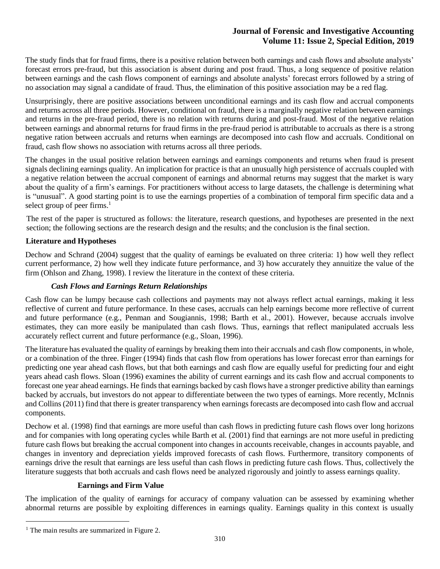The study finds that for fraud firms, there is a positive relation between both earnings and cash flows and absolute analysts' forecast errors pre-fraud, but this association is absent during and post fraud. Thus, a long sequence of positive relation between earnings and the cash flows component of earnings and absolute analysts' forecast errors followed by a string of no association may signal a candidate of fraud. Thus, the elimination of this positive association may be a red flag.

Unsurprisingly, there are positive associations between unconditional earnings and its cash flow and accrual components and returns across all three periods. However, conditional on fraud, there is a marginally negative relation between earnings and returns in the pre-fraud period, there is no relation with returns during and post-fraud. Most of the negative relation between earnings and abnormal returns for fraud firms in the pre-fraud period is attributable to accruals as there is a strong negative ration between accruals and returns when earnings are decomposed into cash flow and accruals. Conditional on fraud, cash flow shows no association with returns across all three periods.

The changes in the usual positive relation between earnings and earnings components and returns when fraud is present signals declining earnings quality. An implication for practice is that an unusually high persistence of accruals coupled with a negative relation between the accrual component of earnings and abnormal returns may suggest that the market is wary about the quality of a firm's earnings. For practitioners without access to large datasets, the challenge is determining what is "unusual". A good starting point is to use the earnings properties of a combination of temporal firm specific data and a select group of peer firms.<sup>1</sup>

The rest of the paper is structured as follows: the literature, research questions, and hypotheses are presented in the next section; the following sections are the research design and the results; and the conclusion is the final section.

### **Literature and Hypotheses**

Dechow and Schrand (2004) suggest that the quality of earnings be evaluated on three criteria: 1) how well they reflect current performance, 2) how well they indicate future performance, and 3) how accurately they annuitize the value of the firm (Ohlson and Zhang, 1998). I review the literature in the context of these criteria.

#### *Cash Flows and Earnings Return Relationships*

Cash flow can be lumpy because cash collections and payments may not always reflect actual earnings, making it less reflective of current and future performance. In these cases, accruals can help earnings become more reflective of current and future performance (e.g., Penman and Sougiannis, 1998; Barth et al., 2001). However, because accruals involve estimates, they can more easily be manipulated than cash flows. Thus, earnings that reflect manipulated accruals less accurately reflect current and future performance (e.g., Sloan, 1996).

The literature has evaluated the quality of earnings by breaking them into their accruals and cash flow components, in whole, or a combination of the three. Finger (1994) finds that cash flow from operations has lower forecast error than earnings for predicting one year ahead cash flows, but that both earnings and cash flow are equally useful for predicting four and eight years ahead cash flows. Sloan (1996) examines the ability of current earnings and its cash flow and accrual components to forecast one year ahead earnings. He finds that earnings backed by cash flows have a stronger predictive ability than earnings backed by accruals, but investors do not appear to differentiate between the two types of earnings. More recently, McInnis and Collins (2011) find that there is greater transparency when earnings forecasts are decomposed into cash flow and accrual components.

Dechow et al. (1998) find that earnings are more useful than cash flows in predicting future cash flows over long horizons and for companies with long operating cycles while Barth et al. (2001) find that earnings are not more useful in predicting future cash flows but breaking the accrual component into changes in accounts receivable, changes in accounts payable, and changes in inventory and depreciation yields improved forecasts of cash flows. Furthermore, transitory components of earnings drive the result that earnings are less useful than cash flows in predicting future cash flows. Thus, collectively the literature suggests that both accruals and cash flows need be analyzed rigorously and jointly to assess earnings quality.

#### **Earnings and Firm Value**

The implication of the quality of earnings for accuracy of company valuation can be assessed by examining whether abnormal returns are possible by exploiting differences in earnings quality. Earnings quality in this context is usually

 $\overline{a}$ 

<sup>&</sup>lt;sup>1</sup> The main results are summarized in Figure 2.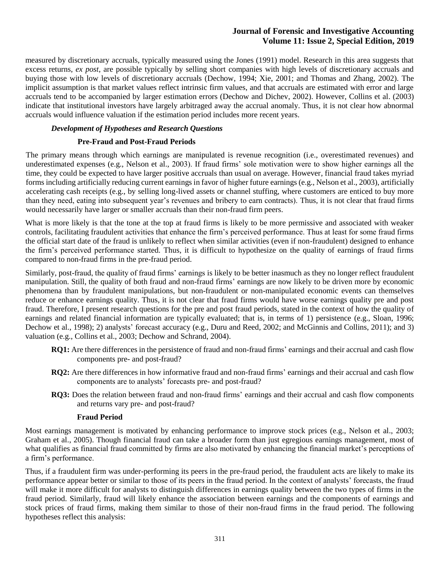measured by discretionary accruals, typically measured using the Jones (1991) model. Research in this area suggests that excess returns, *ex post*, are possible typically by selling short companies with high levels of discretionary accruals and buying those with low levels of discretionary accruals (Dechow, 1994; Xie, 2001; and Thomas and Zhang, 2002). The implicit assumption is that market values reflect intrinsic firm values, and that accruals are estimated with error and large accruals tend to be accompanied by larger estimation errors (Dechow and Dichev, 2002). However, Collins et al. (2003) indicate that institutional investors have largely arbitraged away the accrual anomaly. Thus, it is not clear how abnormal accruals would influence valuation if the estimation period includes more recent years.

#### *Development of Hypotheses and Research Questions*

#### **Pre-Fraud and Post-Fraud Periods**

The primary means through which earnings are manipulated is revenue recognition (i.e., overestimated revenues) and underestimated expenses (e.g., Nelson et al., 2003). If fraud firms' sole motivation were to show higher earnings all the time, they could be expected to have larger positive accruals than usual on average. However, financial fraud takes myriad forms including artificially reducing current earnings in favor of higher future earnings (e.g., Nelson et al., 2003), artificially accelerating cash receipts (e.g., by selling long-lived assets or channel stuffing, where customers are enticed to buy more than they need, eating into subsequent year's revenues and bribery to earn contracts). Thus, it is not clear that fraud firms would necessarily have larger or smaller accruals than their non-fraud firm peers.

What is more likely is that the tone at the top at fraud firms is likely to be more permissive and associated with weaker controls, facilitating fraudulent activities that enhance the firm's perceived performance. Thus at least for some fraud firms the official start date of the fraud is unlikely to reflect when similar activities (even if non-fraudulent) designed to enhance the firm's perceived performance started. Thus, it is difficult to hypothesize on the quality of earnings of fraud firms compared to non-fraud firms in the pre-fraud period.

Similarly, post-fraud, the quality of fraud firms' earnings is likely to be better inasmuch as they no longer reflect fraudulent manipulation. Still, the quality of both fraud and non-fraud firms' earnings are now likely to be driven more by economic phenomena than by fraudulent manipulations, but non-fraudulent or non-manipulated economic events can themselves reduce or enhance earnings quality. Thus, it is not clear that fraud firms would have worse earnings quality pre and post fraud. Therefore, I present research questions for the pre and post fraud periods, stated in the context of how the quality of earnings and related financial information are typically evaluated; that is, in terms of 1) persistence (e.g., Sloan, 1996; Dechow et al., 1998); 2) analysts' forecast accuracy (e.g., Duru and Reed, 2002; and McGinnis and Collins, 2011); and 3) valuation (e.g., Collins et al., 2003; Dechow and Schrand, 2004).

- **RQ1:** Are there differences in the persistence of fraud and non-fraud firms' earnings and their accrual and cash flow components pre- and post-fraud?
- **RQ2:** Are there differences in how informative fraud and non-fraud firms' earnings and their accrual and cash flow components are to analysts' forecasts pre- and post-fraud?
- **RQ3:** Does the relation between fraud and non-fraud firms' earnings and their accrual and cash flow components and returns vary pre- and post-fraud?

#### **Fraud Period**

Most earnings management is motivated by enhancing performance to improve stock prices (e.g., Nelson et al., 2003; Graham et al., 2005). Though financial fraud can take a broader form than just egregious earnings management, most of what qualifies as financial fraud committed by firms are also motivated by enhancing the financial market's perceptions of a firm's performance.

Thus, if a fraudulent firm was under-performing its peers in the pre-fraud period, the fraudulent acts are likely to make its performance appear better or similar to those of its peers in the fraud period. In the context of analysts' forecasts, the fraud will make it more difficult for analysts to distinguish differences in earnings quality between the two types of firms in the fraud period. Similarly, fraud will likely enhance the association between earnings and the components of earnings and stock prices of fraud firms, making them similar to those of their non-fraud firms in the fraud period. The following hypotheses reflect this analysis: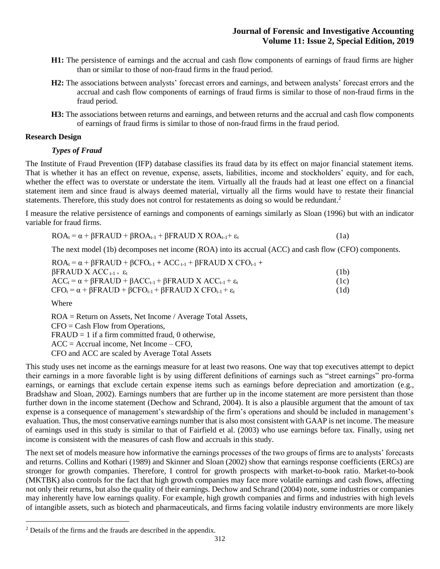- **H1:** The persistence of earnings and the accrual and cash flow components of earnings of fraud firms are higher than or similar to those of non-fraud firms in the fraud period.
- **H2:** The associations between analysts' forecast errors and earnings, and between analysts' forecast errors and the accrual and cash flow components of earnings of fraud firms is similar to those of non-fraud firms in the fraud period.
- **H3:** The associations between returns and earnings, and between returns and the accrual and cash flow components of earnings of fraud firms is similar to those of non-fraud firms in the fraud period.

#### **Research Design**

# *Types of Fraud*

The Institute of Fraud Prevention (IFP) database classifies its fraud data by its effect on major financial statement items. That is whether it has an effect on revenue, expense, assets, liabilities, income and stockholders' equity, and for each, whether the effect was to overstate or understate the item. Virtually all the frauds had at least one effect on a financial statement item and since fraud is always deemed material, virtually all the firms would have to restate their financial statements. Therefore, this study does not control for restatements as doing so would be redundant.<sup>2</sup>

I measure the relative persistence of earnings and components of earnings similarly as Sloan (1996) but with an indicator variable for fraud firms.

$$
ROA_{t} = \alpha + \beta FRAUD + \beta ROA_{t-1} + \beta FRAUD X ROA_{t-1} + \varepsilon_{t}
$$
\n(1a)

The next model (1b) decomposes net income (ROA) into its accrual (ACC) and cash flow (CFO) components.

| $ROA_t = \alpha + \beta FRAUD + \beta CFO_{t-1} + ACC_{t-1} + \beta FRAUD X CFO_{t-1} +$   |      |
|--------------------------------------------------------------------------------------------|------|
| $\beta$ FRAUD X ACC <sub>t-1+</sub> $\varepsilon_t$                                        | (1b) |
| $ACC_t = \alpha + \beta FRAUD + \beta ACC_{t-1} + \beta FRAUD X ACC_{t-1} + \varepsilon_t$ | (1c) |
| $CFO_t = \alpha + \beta FRAUD + \beta CFO_{t-1} + \beta FRAUD X CFO_{t-1} + \varepsilon_t$ | (1d) |

Where

 $\overline{a}$ 

ROA = Return on Assets, Net Income / Average Total Assets, CFO = Cash Flow from Operations,  $FRAUD = 1$  if a firm committed fraud, 0 otherwise, ACC = Accrual income, Net Income – CFO, CFO and ACC are scaled by Average Total Assets

This study uses net income as the earnings measure for at least two reasons. One way that top executives attempt to depict their earnings in a more favorable light is by using different definitions of earnings such as "street earnings" pro-forma earnings, or earnings that exclude certain expense items such as earnings before depreciation and amortization (e.g., Bradshaw and Sloan, 2002). Earnings numbers that are further up in the income statement are more persistent than those further down in the income statement (Dechow and Schrand, 2004). It is also a plausible argument that the amount of tax expense is a consequence of management's stewardship of the firm's operations and should be included in management's evaluation. Thus, the most conservative earnings number that is also most consistent with GAAP is net income. The measure of earnings used in this study is similar to that of Fairfield et al. (2003) who use earnings before tax. Finally, using net income is consistent with the measures of cash flow and accruals in this study.

The next set of models measure how informative the earnings processes of the two groups of firms are to analysts' forecasts and returns. Collins and Kothari (1989) and Skinner and Sloan (2002) show that earnings response coefficients (ERCs) are stronger for growth companies. Therefore, I control for growth prospects with market-to-book ratio. Market-to-book (MKTBK) also controls for the fact that high growth companies may face more volatile earnings and cash flows, affecting not only their returns, but also the quality of their earnings. Dechow and Schrand (2004) note, some industries or companies may inherently have low earnings quality. For example, high growth companies and firms and industries with high levels of intangible assets, such as biotech and pharmaceuticals, and firms facing volatile industry environments are more likely

<sup>2</sup> Details of the firms and the frauds are described in the appendix.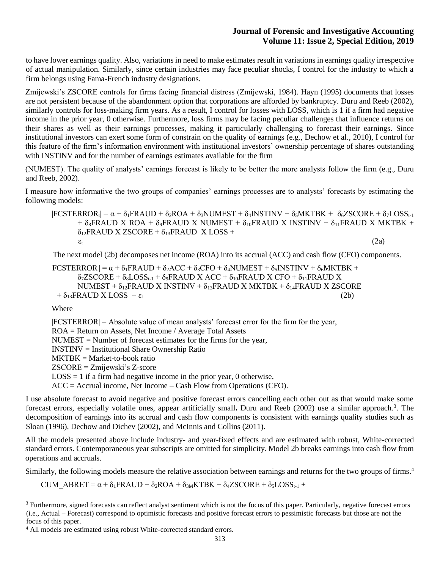to have lower earnings quality. Also, variations in need to make estimates result in variations in earnings quality irrespective of actual manipulation. Similarly, since certain industries may face peculiar shocks, I control for the industry to which a firm belongs using Fama-French industry designations.

Zmijewski's ZSCORE controls for firms facing financial distress (Zmijewski, 1984). Hayn (1995) documents that losses are not persistent because of the abandonment option that corporations are afforded by bankruptcy. Duru and Reeb (2002), similarly controls for loss-making firm years. As a result, I control for losses with LOSS, which is 1 if a firm had negative income in the prior year, 0 otherwise. Furthermore, loss firms may be facing peculiar challenges that influence returns on their shares as well as their earnings processes, making it particularly challenging to forecast their earnings. Since institutional investors can exert some form of constrain on the quality of earnings (e.g., Dechow et al., 2010), I control for this feature of the firm's information environment with institutional investors' ownership percentage of shares outstanding with INSTINV and for the number of earnings estimates available for the firm

(NUMEST). The quality of analysts' earnings forecast is likely to be better the more analysts follow the firm (e.g., Duru and Reeb, 2002).

I measure how informative the two groups of companies' earnings processes are to analysts' forecasts by estimating the following models:

 $|FCSTERROR_t| = \alpha + \delta_1FRAUD + \delta_2ROA + \delta_3NUMEST + \delta_4INTINV + \delta_5MKTBK + \delta_6ZSCORE + \delta_7LOS_{t-1}$  $+ \delta_8$ FRAUD X ROA +  $\delta_9$ FRAUD X NUMEST +  $\delta_{10}$ FRAUD X INSTINV +  $\delta_{11}$ FRAUD X MKTBK +  $\delta_{12}$ FRAUD X ZSCORE +  $\delta_{13}$ FRAUD X LOSS +  $\varepsilon_t$  (2a)

The next model (2b) decomposes net income (ROA) into its accrual (ACC) and cash flow (CFO) components.

 $\text{FCSTERROR}_{t} = \alpha + \delta_1 \text{FRAUD} + \delta_2 \text{ACC} + \delta_3 \text{CFO} + \delta_4 \text{NUMEST} + \delta_5 \text{INSTINV} + \delta_6 \text{MKTBK} +$  $\delta_7$ ZSCORE +  $\delta_8$ LOSS<sub>t-1</sub> +  $\delta_9$ FRAUD X ACC +  $\delta_{10}$ FRAUD X CFO +  $\delta_{11}$ FRAUD X NUMEST +  $\delta_{12}$ FRAUD X INSTINV +  $\delta_{13}$ FRAUD X MKTBK +  $\delta_{14}$ FRAUD X ZSCORE  $+ \delta_{13}$ FRAUD X LOSS  $+ \varepsilon_t$  (2b)

Where

 $\overline{a}$ 

 $|FCSTEROR| = Absolute value of mean analysts' forecast error for the firm for the year,$ ROA = Return on Assets, Net Income / Average Total Assets NUMEST = Number of forecast estimates for the firms for the year, INSTINV = Institutional Share Ownership Ratio  $MKTBK = Market-to-book ratio$ ZSCORE = Zmijewski's Z-score  $LOSS = 1$  if a firm had negative income in the prior year, 0 otherwise, ACC = Accrual income, Net Income – Cash Flow from Operations (CFO).

I use absolute forecast to avoid negative and positive forecast errors cancelling each other out as that would make some forecast errors, especially volatile ones, appear artificially small**.** Duru and Reeb (2002) use a similar approach. 3 . The decomposition of earnings into its accrual and cash flow components is consistent with earnings quality studies such as Sloan (1996), Dechow and Dichev (2002), and McInnis and Collins (2011).

All the models presented above include industry- and year-fixed effects and are estimated with robust, White-corrected standard errors. Contemporaneous year subscripts are omitted for simplicity. Model 2b breaks earnings into cash flow from operations and accruals.

Similarly, the following models measure the relative association between earnings and returns for the two groups of firms.<sup>4</sup>

CUM ABRET =  $\alpha$  +  $\delta_1$ FRAUD +  $\delta_2$ ROA +  $\delta_{3M}$ KTBK +  $\delta_4$ ZSCORE +  $\delta_5$ LOSS<sub>t-1</sub> +

<sup>&</sup>lt;sup>3</sup> Furthermore, signed forecasts can reflect analyst sentiment which is not the focus of this paper. Particularly, negative forecast errors (i.e., Actual – Forecast) correspond to optimistic forecasts and positive forecast errors to pessimistic forecasts but those are not the focus of this paper.

<sup>4</sup> All models are estimated using robust White-corrected standard errors.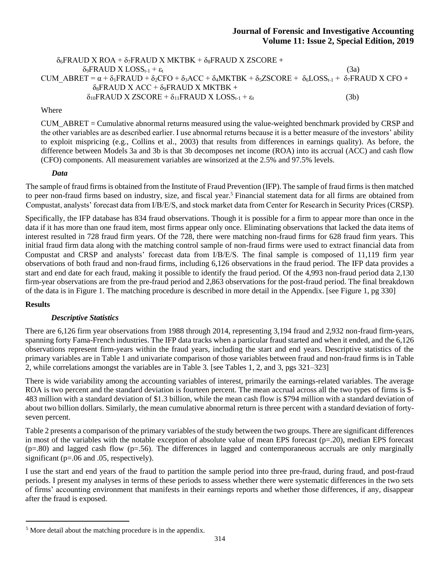## $\delta_6$ FRAUD X ROA +  $\delta_7$ FRAUD X MKTBK +  $\delta_8$ FRAUD X ZSCORE +  $\delta_9$ FRAUD X LOSS<sub>t-1</sub> + ε<sub>t</sub> (3a) CUM ABRET =  $\alpha$  +  $\delta_1$ FRAUD +  $\delta_2$ CFO +  $\delta_3$ ACC +  $\delta_4$ MKTBK +  $\delta_5$ ZSCORE +  $\delta_6$ LOSS<sub>t-1</sub> +  $\delta_7$ FRAUD X CFO +  $\delta_8$ FRAUD X ACC +  $\delta_9$ FRAUD X MKTBK +  $\delta_{10}$ FRAUD X ZSCORE +  $\delta_{11}$ FRAUD X LOSS<sub>t-1</sub> +  $\varepsilon_t$  (3b)

Where

CUM\_ABRET = Cumulative abnormal returns measured using the value-weighted benchmark provided by CRSP and the other variables are as described earlier. I use abnormal returns because it is a better measure of the investors' ability to exploit mispricing (e.g., Collins et al., 2003) that results from differences in earnings quality). As before, the difference between Models 3a and 3b is that 3b decomposes net income (ROA) into its accrual (ACC) and cash flow (CFO) components. All measurement variables are winsorized at the 2.5% and 97.5% levels.

#### *Data*

The sample of fraud firms is obtained from the Institute of Fraud Prevention (IFP). The sample of fraud firms is then matched to peer non-fraud firms based on industry, size, and fiscal year.<sup>5</sup> Financial statement data for all firms are obtained from Compustat, analysts' forecast data from I/B/E/S, and stock market data from Center for Research in Security Prices (CRSP).

Specifically, the IFP database has 834 fraud observations. Though it is possible for a firm to appear more than once in the data if it has more than one fraud item, most firms appear only once. Eliminating observations that lacked the data items of interest resulted in 728 fraud firm years. Of the 728, there were matching non-fraud firms for 628 fraud firm years. This initial fraud firm data along with the matching control sample of non-fraud firms were used to extract financial data from Compustat and CRSP and analysts' forecast data from I/B/E/S. The final sample is composed of 11,119 firm year observations of both fraud and non-fraud firms, including 6,126 observations in the fraud period. The IFP data provides a start and end date for each fraud, making it possible to identify the fraud period. Of the 4,993 non-fraud period data 2,130 firm-year observations are from the pre-fraud period and 2,863 observations for the post-fraud period. The final breakdown of the data is in Figure 1. The matching procedure is described in more detail in the Appendix. [see Figure 1, pg 330]

#### **Results**

 $\overline{a}$ 

#### *Descriptive Statistics*

There are 6,126 firm year observations from 1988 through 2014, representing 3,194 fraud and 2,932 non-fraud firm-years, spanning forty Fama-French industries. The IFP data tracks when a particular fraud started and when it ended, and the 6,126 observations represent firm-years within the fraud years, including the start and end years. Descriptive statistics of the primary variables are in Table 1 and univariate comparison of those variables between fraud and non-fraud firms is in Table 2, while correlations amongst the variables are in Table 3. [see Tables 1, 2, and 3, pgs 321–323]

There is wide variability among the accounting variables of interest, primarily the earnings-related variables. The average ROA is two percent and the standard deviation is fourteen percent. The mean accrual across all the two types of firms is \$-483 million with a standard deviation of \$1.3 billion, while the mean cash flow is \$794 million with a standard deviation of about two billion dollars. Similarly, the mean cumulative abnormal return is three percent with a standard deviation of fortyseven percent.

Table 2 presents a comparison of the primary variables of the study between the two groups. There are significant differences in most of the variables with the notable exception of absolute value of mean EPS forecast  $(p=20)$ , median EPS forecast  $(p=80)$  and lagged cash flow  $(p=.56)$ . The differences in lagged and contemporaneous accruals are only marginally significant (p=.06 and .05, respectively).

I use the start and end years of the fraud to partition the sample period into three pre-fraud, during fraud, and post-fraud periods. I present my analyses in terms of these periods to assess whether there were systematic differences in the two sets of firms' accounting environment that manifests in their earnings reports and whether those differences, if any, disappear after the fraud is exposed.

<sup>5</sup> More detail about the matching procedure is in the appendix.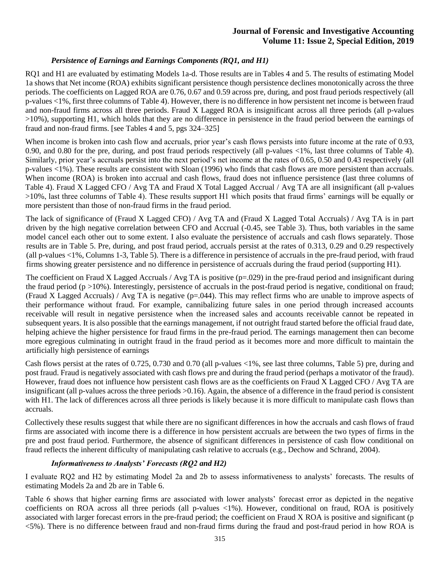#### *Persistence of Earnings and Earnings Components (RQ1, and H1)*

RQ1 and H1 are evaluated by estimating Models 1a-d. Those results are in Tables 4 and 5. The results of estimating Model 1a shows that Net income (ROA) exhibits significant persistence though persistence declines monotonically across the three periods. The coefficients on Lagged ROA are 0.76, 0.67 and 0.59 across pre, during, and post fraud periods respectively (all p-values <1%, first three columns of Table 4). However, there is no difference in how persistent net income is between fraud and non-fraud firms across all three periods. Fraud X Lagged ROA is insignificant across all three periods (all p-values >10%), supporting H1, which holds that they are no difference in persistence in the fraud period between the earnings of fraud and non-fraud firms. [see Tables 4 and 5, pgs 324–325]

When income is broken into cash flow and accruals, prior year's cash flows persists into future income at the rate of 0.93, 0.90, and 0.80 for the pre, during, and post fraud periods respectively (all p-values <1%, last three columns of Table 4). Similarly, prior year's accruals persist into the next period's net income at the rates of 0.65, 0.50 and 0.43 respectively (all p-values <1%). These results are consistent with Sloan (1996) who finds that cash flows are more persistent than accruals. When income (ROA) is broken into accrual and cash flows, fraud does not influence persistence (last three columns of Table 4). Fraud X Lagged CFO / Avg TA and Fraud X Total Lagged Accrual / Avg TA are all insignificant (all p-values >10%, last three columns of Table 4). These results support H1 which posits that fraud firms' earnings will be equally or more persistent than those of non-fraud firms in the fraud period.

The lack of significance of (Fraud X Lagged CFO) / Avg TA and (Fraud X Lagged Total Accruals) / Avg TA is in part driven by the high negative correlation between CFO and Accrual (-0.45, see Table 3). Thus, both variables in the same model cancel each other out to some extent. I also evaluate the persistence of accruals and cash flows separately. Those results are in Table 5. Pre, during, and post fraud period, accruals persist at the rates of 0.313, 0.29 and 0.29 respectively (all p-values <1%, Columns 1-3, Table 5). There is a difference in persistence of accruals in the pre-fraud period, with fraud firms showing greater persistence and no difference in persistence of accruals during the fraud period (supporting H1).

The coefficient on Fraud X Lagged Accruals / Avg TA is positive  $(p=.029)$  in the pre-fraud period and insignificant during the fraud period ( $p > 10\%$ ). Interestingly, persistence of accruals in the post-fraud period is negative, conditional on fraud; (Fraud X Lagged Accruals) / Avg TA is negative  $(p=0.044)$ . This may reflect firms who are unable to improve aspects of their performance without fraud. For example, cannibalizing future sales in one period through increased accounts receivable will result in negative persistence when the increased sales and accounts receivable cannot be repeated in subsequent years. It is also possible that the earnings management, if not outright fraud started before the official fraud date, helping achieve the higher persistence for fraud firms in the pre-fraud period. The earnings management then can become more egregious culminating in outright fraud in the fraud period as it becomes more and more difficult to maintain the artificially high persistence of earnings

Cash flows persist at the rates of  $0.725$ ,  $0.730$  and  $0.70$  (all p-values  $\langle 1\% \rangle$ , see last three columns, Table 5) pre, during and post fraud. Fraud is negatively associated with cash flows pre and during the fraud period (perhaps a motivator of the fraud). However, fraud does not influence how persistent cash flows are as the coefficients on Fraud X Lagged CFO / Avg TA are insignificant (all p-values across the three periods >0.16). Again, the absence of a difference in the fraud period is consistent with H1. The lack of differences across all three periods is likely because it is more difficult to manipulate cash flows than accruals.

Collectively these results suggest that while there are no significant differences in how the accruals and cash flows of fraud firms are associated with income there is a difference in how persistent accruals are between the two types of firms in the pre and post fraud period. Furthermore, the absence of significant differences in persistence of cash flow conditional on fraud reflects the inherent difficulty of manipulating cash relative to accruals (e.g., Dechow and Schrand, 2004).

#### *Informativeness to Analysts' Forecasts (RQ2 and H2)*

I evaluate RQ2 and H2 by estimating Model 2a and 2b to assess informativeness to analysts' forecasts. The results of estimating Models 2a and 2b are in Table 6.

Table 6 shows that higher earning firms are associated with lower analysts' forecast error as depicted in the negative coefficients on ROA across all three periods (all p-values <1%). However, conditional on fraud, ROA is positively associated with larger forecast errors in the pre-fraud period; the coefficient on Fraud X ROA is positive and significant (p <5%). There is no difference between fraud and non-fraud firms during the fraud and post-fraud period in how ROA is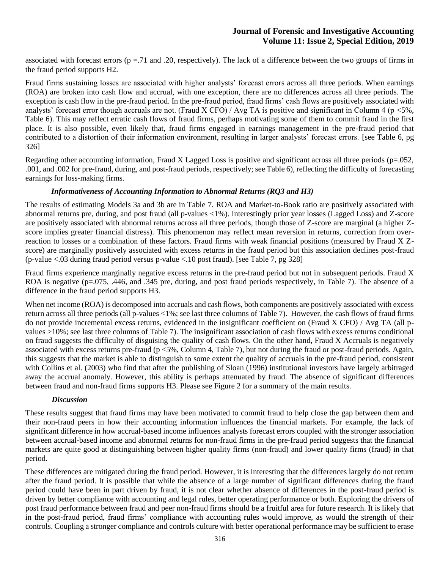associated with forecast errors ( $p = .71$  and .20, respectively). The lack of a difference between the two groups of firms in the fraud period supports H2.

Fraud firms sustaining losses are associated with higher analysts' forecast errors across all three periods. When earnings (ROA) are broken into cash flow and accrual, with one exception, there are no differences across all three periods. The exception is cash flow in the pre-fraud period. In the pre-fraud period, fraud firms' cash flows are positively associated with analysts' forecast error though accruals are not. (Fraud X CFO) / Avg TA is positive and significant in Column 4 (p  $\lt 5\%$ , Table 6). This may reflect erratic cash flows of fraud firms, perhaps motivating some of them to commit fraud in the first place. It is also possible, even likely that, fraud firms engaged in earnings management in the pre-fraud period that contributed to a distortion of their information environment, resulting in larger analysts' forecast errors. [see Table 6, pg 326]

Regarding other accounting information, Fraud X Lagged Loss is positive and significant across all three periods ( $p=.052$ , .001, and .002 for pre-fraud, during, and post-fraud periods, respectively; see Table 6), reflecting the difficulty of forecasting earnings for loss-making firms.

### *Informativeness of Accounting Information to Abnormal Returns (RQ3 and H3)*

The results of estimating Models 3a and 3b are in Table 7. ROA and Market-to-Book ratio are positively associated with abnormal returns pre, during, and post fraud (all p-values <1%). Interestingly prior year losses (Lagged Loss) and Z-score are positively associated with abnormal returns across all three periods, though those of Z-score are marginal (a higher Zscore implies greater financial distress). This phenomenon may reflect mean reversion in returns, correction from overreaction to losses or a combination of these factors. Fraud firms with weak financial positions (measured by Fraud X Zscore) are marginally positively associated with excess returns in the fraud period but this association declines post-fraud (p-value <.03 during fraud period versus p-value <.10 post fraud). [see Table 7, pg 328]

Fraud firms experience marginally negative excess returns in the pre-fraud period but not in subsequent periods. Fraud X ROA is negative  $(p=.075, .446, \text{ and } .345 \text{ pre}, \text{ during, and post } \text{frau periods respectively}, \text{ in Table 7}.$  The absence of a difference in the fraud period supports H3.

When net income (ROA) is decomposed into accruals and cash flows, both components are positively associated with excess return across all three periods (all p-values <1%; see last three columns of Table 7). However, the cash flows of fraud firms do not provide incremental excess returns, evidenced in the insignificant coefficient on (Fraud X CFO) / Avg TA (all pvalues >10%; see last three columns of Table 7). The insignificant association of cash flows with excess returns conditional on fraud suggests the difficulty of disguising the quality of cash flows. On the other hand, Fraud X Accruals is negatively associated with excess returns pre-fraud ( $p < 5\%$ , Column 4, Table 7), but not during the fraud or post-fraud periods. Again, this suggests that the market is able to distinguish to some extent the quality of accruals in the pre-fraud period, consistent with Collins et al. (2003) who find that after the publishing of Sloan (1996) institutional investors have largely arbitraged away the accrual anomaly. However, this ability is perhaps attenuated by fraud. The absence of significant differences between fraud and non-fraud firms supports H3. Please see Figure 2 for a summary of the main results.

#### *Discussion*

These results suggest that fraud firms may have been motivated to commit fraud to help close the gap between them and their non-fraud peers in how their accounting information influences the financial markets. For example, the lack of significant difference in how accrual-based income influences analysts forecast errors coupled with the stronger association between accrual-based income and abnormal returns for non-fraud firms in the pre-fraud period suggests that the financial markets are quite good at distinguishing between higher quality firms (non-fraud) and lower quality firms (fraud) in that period.

These differences are mitigated during the fraud period. However, it is interesting that the differences largely do not return after the fraud period. It is possible that while the absence of a large number of significant differences during the fraud period could have been in part driven by fraud, it is not clear whether absence of differences in the post-fraud period is driven by better compliance with accounting and legal rules, better operating performance or both. Exploring the drivers of post fraud performance between fraud and peer non-fraud firms should be a fruitful area for future research. It is likely that in the post-fraud period, fraud firms' compliance with accounting rules would improve, as would the strength of their controls. Coupling a stronger compliance and controls culture with better operational performance may be sufficient to erase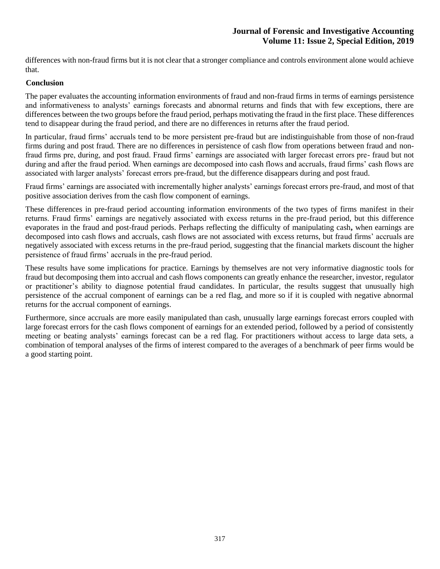differences with non-fraud firms but it is not clear that a stronger compliance and controls environment alone would achieve that.

#### **Conclusion**

The paper evaluates the accounting information environments of fraud and non-fraud firms in terms of earnings persistence and informativeness to analysts' earnings forecasts and abnormal returns and finds that with few exceptions, there are differences between the two groups before the fraud period, perhaps motivating the fraud in the first place. These differences tend to disappear during the fraud period, and there are no differences in returns after the fraud period.

In particular, fraud firms' accruals tend to be more persistent pre-fraud but are indistinguishable from those of non-fraud firms during and post fraud. There are no differences in persistence of cash flow from operations between fraud and nonfraud firms pre, during, and post fraud. Fraud firms' earnings are associated with larger forecast errors pre- fraud but not during and after the fraud period. When earnings are decomposed into cash flows and accruals, fraud firms' cash flows are associated with larger analysts' forecast errors pre-fraud, but the difference disappears during and post fraud.

Fraud firms' earnings are associated with incrementally higher analysts' earnings forecast errors pre-fraud, and most of that positive association derives from the cash flow component of earnings.

These differences in pre-fraud period accounting information environments of the two types of firms manifest in their returns. Fraud firms' earnings are negatively associated with excess returns in the pre-fraud period, but this difference evaporates in the fraud and post-fraud periods. Perhaps reflecting the difficulty of manipulating cash**,** when earnings are decomposed into cash flows and accruals, cash flows are not associated with excess returns, but fraud firms' accruals are negatively associated with excess returns in the pre-fraud period, suggesting that the financial markets discount the higher persistence of fraud firms' accruals in the pre-fraud period.

These results have some implications for practice. Earnings by themselves are not very informative diagnostic tools for fraud but decomposing them into accrual and cash flows components can greatly enhance the researcher, investor, regulator or practitioner's ability to diagnose potential fraud candidates. In particular, the results suggest that unusually high persistence of the accrual component of earnings can be a red flag, and more so if it is coupled with negative abnormal returns for the accrual component of earnings.

Furthermore, since accruals are more easily manipulated than cash, unusually large earnings forecast errors coupled with large forecast errors for the cash flows component of earnings for an extended period, followed by a period of consistently meeting or beating analysts' earnings forecast can be a red flag. For practitioners without access to large data sets, a combination of temporal analyses of the firms of interest compared to the averages of a benchmark of peer firms would be a good starting point.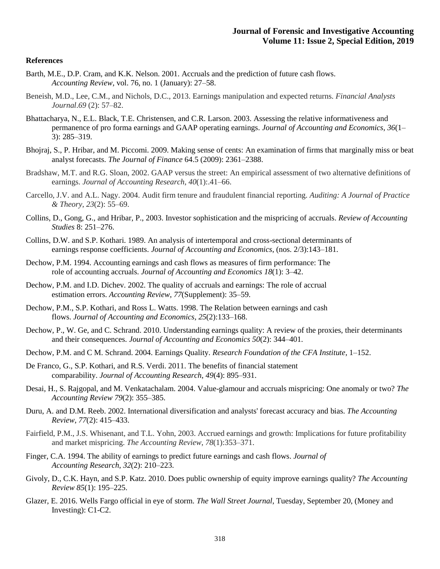#### **References**

- Barth, M.E., D.P. Cram, and K.K. Nelson. 2001. Accruals and the prediction of future cash flows. *Accounting Review*, vol. 76, no. 1 (January): 27–58.
- Beneish, M.D., Lee, C.M., and Nichols, D.C., 2013. Earnings manipulation and expected returns. *Financial Analysts Journal*.*69* (2): 57–82.
- Bhattacharya, N., E.L. Black, T.E. Christensen, and C.R. Larson. 2003. Assessing the relative informativeness and permanence of pro forma earnings and GAAP operating earnings. *Journal of Accounting and Economics*, *36*(1– 3): 285–319.
- Bhojraj, S., P. Hribar, and M. Piccomi. 2009. Making sense of cents: An examination of firms that marginally miss or beat analyst forecasts. *The Journal of Finance* 64.5 (2009): 2361–2388.
- Bradshaw, M.T. and R.G. Sloan, 2002. GAAP versus the street: An empirical assessment of two alternative definitions of earnings. *Journal of Accounting Research*, *40*(1):.41–66.
- Carcello, J.V. and A.L. Nagy. 2004. Audit firm tenure and fraudulent financial reporting. *Auditing: A Journal of Practice & Theory*, *23*(2): 55–69.
- Collins, D., Gong, G., and Hribar, P., 2003. Investor sophistication and the mispricing of accruals. *Review of Accounting Studies* 8: 251–276.
- Collins, D.W. and S.P. Kothari. 1989. An analysis of intertemporal and cross-sectional determinants of earnings response coefficients. *Journal of Accounting and Economics*, (nos. 2/3):143–181.
- Dechow, P.M. 1994. Accounting earnings and cash flows as measures of firm performance: The role of accounting accruals. *Journal of Accounting and Economics 18*(1): 3–42.
- Dechow, P.M. and I.D. Dichev. 2002. The quality of accruals and earnings: The role of accrual estimation errors. *Accounting Review*, *77*(Supplement): 35–59.
- Dechow, P.M., S.P. Kothari, and Ross L. Watts. 1998. The Relation between earnings and cash flows. *Journal of Accounting and Economics*, *25*(2):133–168.
- Dechow, P., W. Ge, and C. Schrand. 2010. Understanding earnings quality: A review of the proxies, their determinants and their consequences. *Journal of Accounting and Economics 50*(2): 344–401.
- Dechow, P.M. and C M. Schrand. 2004. Earnings Quality. *Research Foundation of the CFA Institute*, 1–152.
- De Franco, G., S.P. Kothari, and R.S. Verdi. 2011. The benefits of financial statement comparability. *Journal of Accounting Research*, *49*(4): 895–931.
- Desai, H., S. Rajgopal, and M. Venkatachalam. 2004. Value-glamour and accruals mispricing: One anomaly or two? *The Accounting Review 79*(2): 355–385.
- Duru, A. and D.M. Reeb. 2002. International diversification and analysts' forecast accuracy and bias. *The Accounting Review*, *77*(2): 415–433.
- Fairfield, P.M., J.S. Whisenant, and T.L. Yohn, 2003. Accrued earnings and growth: Implications for future profitability and market mispricing. *The Accounting Review*, *78*(1):353–371.
- Finger, C.A. 1994. The ability of earnings to predict future earnings and cash flows. *Journal of Accounting Research*, *32*(2): 210–223.
- Givoly, D., C.K. Hayn, and S.P. Katz. 2010. Does public ownership of equity improve earnings quality? *The Accounting Review 85*(1): 195–225.
- Glazer, E. 2016. Wells Fargo official in eye of storm. *The Wall Street Journal*, Tuesday, September 20, (Money and Investing): C1-C2.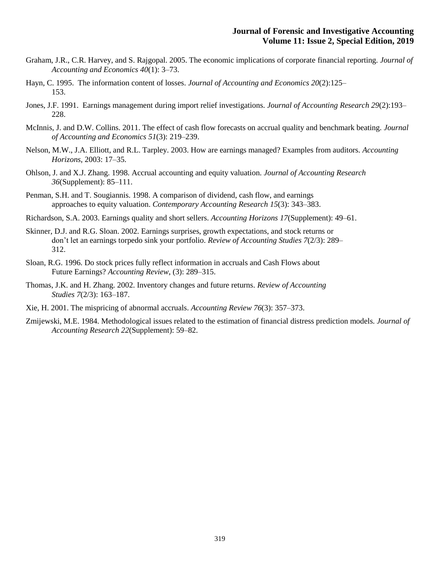- Graham, J.R., C.R. Harvey, and S. Rajgopal. 2005. The economic implications of corporate financial reporting. *Journal of Accounting and Economics 40*(1): 3–73.
- Hayn, C. 1995. The information content of losses. *Journal of Accounting and Economics 20*(2):125– 153.
- Jones, J.F. 1991. Earnings management during import relief investigations. *Journal of Accounting Research 29*(2):193– 228.
- McInnis, J. and D.W. Collins. 2011. The effect of cash flow forecasts on accrual quality and benchmark beating. *Journal of Accounting and Economics 51*(3): 219–239.
- Nelson, M.W., J.A. Elliott, and R.L. Tarpley. 2003. How are earnings managed? Examples from auditors. *Accounting Horizons*, 2003: 17–35.
- Ohlson, J. and X.J. Zhang. 1998. Accrual accounting and equity valuation. *Journal of Accounting Research 36*(Supplement): 85–111.
- Penman, S.H. and T. Sougiannis. 1998. A comparison of dividend, cash flow, and earnings approaches to equity valuation. *Contemporary Accounting Research 15*(3): 343–383.
- Richardson, S.A. 2003. Earnings quality and short sellers. *Accounting Horizons 17*(Supplement): 49–61.
- Skinner, D.J. and R.G. Sloan. 2002. Earnings surprises, growth expectations, and stock returns or don't let an earnings torpedo sink your portfolio. *Review of Accounting Studies 7*(2/3): 289– 312.
- Sloan, R.G. 1996. Do stock prices fully reflect information in accruals and Cash Flows about Future Earnings? *Accounting Review*, (3): 289–315.
- Thomas, J.K. and H. Zhang. 2002. Inventory changes and future returns. *Review of Accounting Studies 7*(2/3): 163–187.
- Xie, H. 2001. The mispricing of abnormal accruals. *Accounting Review 76*(3): 357–373.
- Zmijewski, M.E. 1984. Methodological issues related to the estimation of financial distress prediction models. *Journal of Accounting Research 22*(Supplement): 59–82.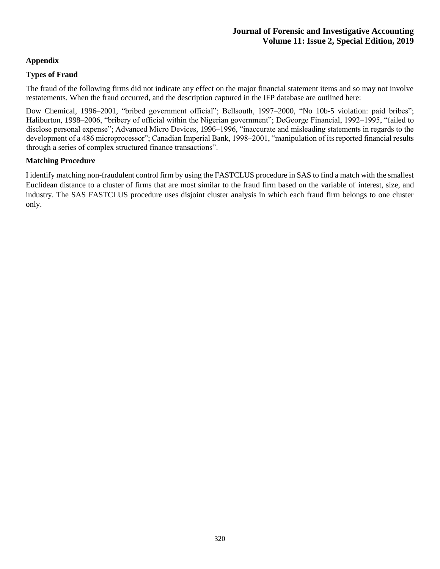# **Appendix**

# **Types of Fraud**

The fraud of the following firms did not indicate any effect on the major financial statement items and so may not involve restatements. When the fraud occurred, and the description captured in the IFP database are outlined here:

Dow Chemical, 1996–2001, "bribed government official"; Bellsouth, 1997–2000, "No 10b-5 violation: paid bribes"; Haliburton, 1998–2006, "bribery of official within the Nigerian government"; DeGeorge Financial, 1992–1995, "failed to disclose personal expense"; Advanced Micro Devices, 1996–1996, "inaccurate and misleading statements in regards to the development of a 486 microprocessor"; Canadian Imperial Bank, 1998–2001, "manipulation of its reported financial results through a series of complex structured finance transactions".

# **Matching Procedure**

I identify matching non-fraudulent control firm by using the FASTCLUS procedure in SAS to find a match with the smallest Euclidean distance to a cluster of firms that are most similar to the fraud firm based on the variable of interest, size, and industry. The SAS FASTCLUS procedure uses disjoint cluster analysis in which each fraud firm belongs to one cluster only.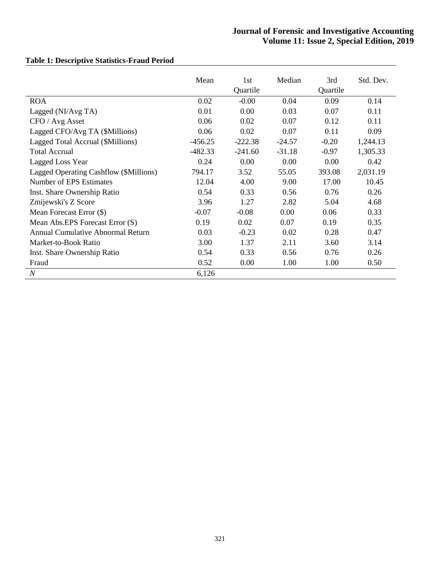|                                        | Mean      | 1st<br>Quartile | Median   | 3rd<br>Quartile | Std. Dev. |
|----------------------------------------|-----------|-----------------|----------|-----------------|-----------|
| <b>ROA</b>                             | 0.02      | $-0.00$         | 0.04     | 0.09            | 0.14      |
| Lagged (NI/Avg TA)                     | 0.01      | 0.00            | 0.03     | 0.07            | 0.11      |
| CFO / Avg Asset                        | 0.06      | 0.02            | 0.07     | 0.12            | 0.11      |
| Lagged CFO/Avg TA (\$Millions)         | 0.06      | 0.02            | 0.07     | 0.11            | 0.09      |
| Lagged Total Accrual (\$Millions)      | $-456.25$ | $-222.38$       | $-24.57$ | $-0.20$         | 1,244.13  |
| <b>Total Accrual</b>                   | $-482.33$ | $-241.60$       | $-31.18$ | $-0.97$         | 1,305.33  |
| Lagged Loss Year                       | 0.24      | 0.00            | 0.00     | 0.00            | 0.42      |
| Lagged Operating Cashflow (\$Millions) | 794.17    | 3.52            | 55.05    | 393.08          | 2,031.19  |
| Number of EPS Estimates                | 12.04     | 4.00            | 9.00     | 17.00           | 10.45     |
| Inst. Share Ownership Ratio            | 0.54      | 0.33            | 0.56     | 0.76            | 0.26      |
| Zmijewski's Z Score                    | 3.96      | 1.27            | 2.82     | 5.04            | 4.68      |
| Mean Forecast Error (\$)               | $-0.07$   | $-0.08$         | 0.00     | 0.06            | 0.33      |
| Mean Abs.EPS Forecast Error (S)        | 0.19      | 0.02            | 0.07     | 0.19            | 0.35      |
| Annual Cumulative Abnormal Return      | 0.03      | $-0.23$         | 0.02     | 0.28            | 0.47      |
| Market-to-Book Ratio                   | 3.00      | 1.37            | 2.11     | 3.60            | 3.14      |
| Inst. Share Ownership Ratio            | 0.54      | 0.33            | 0.56     | 0.76            | 0.26      |
| Fraud                                  | 0.52      | 0.00            | 1.00     | 1.00            | 0.50      |
| $\overline{N}$                         | 6,126     |                 |          |                 |           |

# **Table 1: Descriptive Statistics-Fraud Period**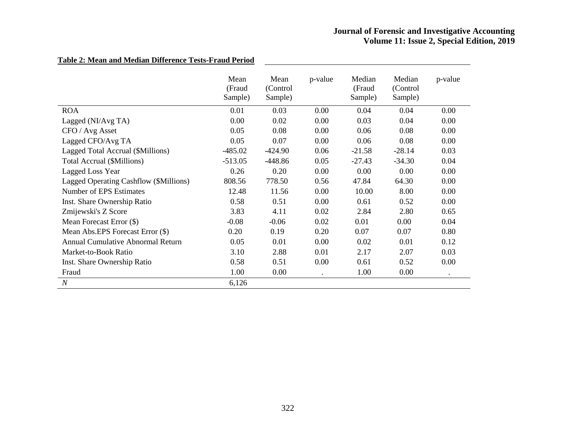|                                        | Mean<br>(Fraud<br>Sample) | Mean<br>(Control<br>Sample) | p-value | Median<br>(Fraud<br>Sample) | Median<br>(Control)<br>Sample) | p-value   |
|----------------------------------------|---------------------------|-----------------------------|---------|-----------------------------|--------------------------------|-----------|
| <b>ROA</b>                             | 0.01                      | 0.03                        | 0.00    | 0.04                        | 0.04                           | 0.00      |
| Lagged (NI/Avg TA)                     | 0.00                      | 0.02                        | 0.00    | 0.03                        | 0.04                           | 0.00      |
| CFO / Avg Asset                        | 0.05                      | 0.08                        | 0.00    | 0.06                        | 0.08                           | 0.00      |
| Lagged CFO/Avg TA                      | 0.05                      | 0.07                        | 0.00    | 0.06                        | 0.08                           | 0.00      |
| Lagged Total Accrual (\$Millions)      | $-485.02$                 | $-424.90$                   | 0.06    | $-21.58$                    | $-28.14$                       | 0.03      |
| Total Accrual (\$Millions)             | $-513.05$                 | $-448.86$                   | 0.05    | $-27.43$                    | $-34.30$                       | 0.04      |
| <b>Lagged Loss Year</b>                | 0.26                      | 0.20                        | 0.00    | 0.00                        | 0.00                           | 0.00      |
| Lagged Operating Cashflow (\$Millions) | 808.56                    | 778.50                      | 0.56    | 47.84                       | 64.30                          | 0.00      |
| Number of EPS Estimates                | 12.48                     | 11.56                       | 0.00    | 10.00                       | 8.00                           | 0.00      |
| Inst. Share Ownership Ratio            | 0.58                      | 0.51                        | 0.00    | 0.61                        | 0.52                           | 0.00      |
| Zmijewski's Z Score                    | 3.83                      | 4.11                        | 0.02    | 2.84                        | 2.80                           | 0.65      |
| Mean Forecast Error (\$)               | $-0.08$                   | $-0.06$                     | 0.02    | 0.01                        | 0.00                           | 0.04      |
| Mean Abs.EPS Forecast Error (\$)       | 0.20                      | 0.19                        | 0.20    | 0.07                        | 0.07                           | 0.80      |
| Annual Cumulative Abnormal Return      | 0.05                      | 0.01                        | 0.00    | 0.02                        | 0.01                           | 0.12      |
| Market-to-Book Ratio                   | 3.10                      | 2.88                        | 0.01    | 2.17                        | 2.07                           | 0.03      |
| Inst. Share Ownership Ratio            | 0.58                      | 0.51                        | 0.00    | 0.61                        | 0.52                           | 0.00      |
| Fraud                                  | 1.00                      | 0.00                        |         | 1.00                        | 0.00                           | $\bullet$ |
| $\boldsymbol{N}$                       | 6,126                     |                             |         |                             |                                |           |

# **Table 2: Mean and Median Difference Tests-Fraud Period**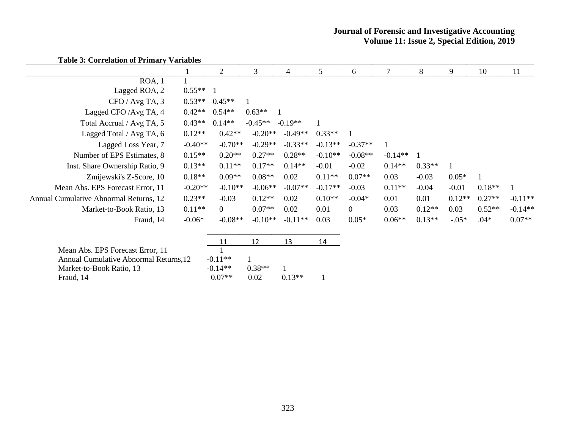|                                        | $\overline{2}$ | 3                      | 4                                               | 5         | 6              |           | 8        | 9        | 10       | 11        |
|----------------------------------------|----------------|------------------------|-------------------------------------------------|-----------|----------------|-----------|----------|----------|----------|-----------|
|                                        |                |                        |                                                 |           |                |           |          |          |          |           |
| $0.55**$                               |                |                        |                                                 |           |                |           |          |          |          |           |
| $0.53**$                               | $0.45**$       |                        |                                                 |           |                |           |          |          |          |           |
| $0.42**$                               | $0.54**$       | $0.63**$               |                                                 |           |                |           |          |          |          |           |
| $0.43**$                               | $0.14**$       | $-0.45**$              |                                                 |           |                |           |          |          |          |           |
| $0.12**$                               | $0.42**$       | $-0.20**$              | $-0.49**$                                       | $0.33**$  |                |           |          |          |          |           |
| $-0.40**$                              |                | $-0.29**$              | $-0.33**$                                       | $-0.13**$ | $-0.37**$      |           |          |          |          |           |
| $0.15**$                               | $0.20**$       | $0.27**$               | $0.28**$                                        | $-0.10**$ | $-0.08**$      | $-0.14**$ |          |          |          |           |
| $0.13**$                               | $0.11**$       | $0.17**$               | $0.14**$                                        | $-0.01$   | $-0.02$        | $0.14**$  | $0.33**$ |          |          |           |
| $0.18**$                               | $0.09**$       | $0.08**$               | 0.02                                            | $0.11**$  | $0.07**$       | 0.03      | $-0.03$  | $0.05*$  |          |           |
| $-0.20**$                              |                | $-0.06**$              | $-0.07**$                                       | $-0.17**$ | $-0.03$        | $0.11**$  | $-0.04$  | $-0.01$  | $0.18**$ |           |
| $0.23**$                               | $-0.03$        | $0.12**$               | 0.02                                            | $0.10**$  | $-0.04*$       | 0.01      | 0.01     | $0.12**$ | $0.27**$ | $-0.11**$ |
| $0.11**$                               | $\overline{0}$ | $0.07**$               | 0.02                                            | 0.01      | $\overline{0}$ | 0.03      | $0.12**$ | 0.03     | $0.52**$ | $-0.14**$ |
| $-0.06*$                               |                | $-0.10**$              | $-0.11**$                                       | 0.03      | $0.05*$        | $0.06**$  | $0.13**$ | $-0.05*$ | $.04*$   | $0.07**$  |
|                                        | 11             | 12                     | 13                                              | 14        |                |           |          |          |          |           |
|                                        |                |                        |                                                 |           |                |           |          |          |          |           |
| Annual Cumulative Abnormal Returns, 12 |                |                        |                                                 |           |                |           |          |          |          |           |
|                                        |                | $-0.11**$<br>$-0.14**$ | $-0.70**$<br>$-0.10**$<br>$-0.08**$<br>$0.38**$ | $-0.19**$ |                |           |          |          |          |           |

Market-to-Book Ratio, 13 -0.14<sup>\*\*</sup> 0.38<sup>\*\*</sup> 1<br>Fraud, 14 0.07<sup>\*\*</sup> 0.02 0.13<sup>\*\*</sup> Fraud, 14 0.07<sup>\*\*</sup> 0.02 0.13<sup>\*\*</sup> 1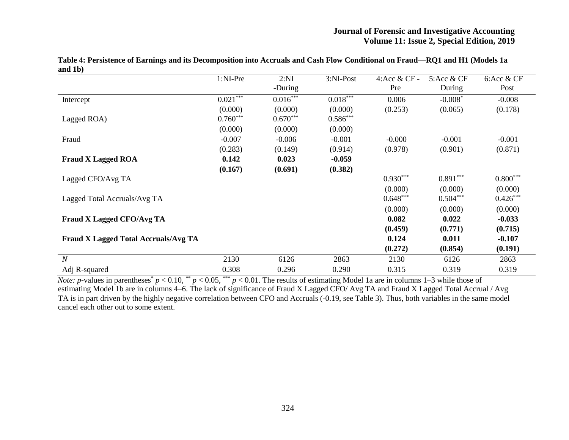|                                             | 1:NI-Pre   | 2:NI       | 3:NI-Post  | 4: Acc & CF - | 5: Acc & CF | 6:Acc & CF |
|---------------------------------------------|------------|------------|------------|---------------|-------------|------------|
|                                             |            | -During    |            | Pre           | During      | Post       |
| Intercept                                   | $0.021***$ | $0.016***$ | $0.018***$ | 0.006         | $-0.008*$   | $-0.008$   |
|                                             | (0.000)    | (0.000)    | (0.000)    | (0.253)       | (0.065)     | (0.178)    |
| Lagged ROA)                                 | $0.760***$ | $0.670***$ | $0.586***$ |               |             |            |
|                                             | (0.000)    | (0.000)    | (0.000)    |               |             |            |
| Fraud                                       | $-0.007$   | $-0.006$   | $-0.001$   | $-0.000$      | $-0.001$    | $-0.001$   |
|                                             | (0.283)    | (0.149)    | (0.914)    | (0.978)       | (0.901)     | (0.871)    |
| <b>Fraud X Lagged ROA</b>                   | 0.142      | 0.023      | $-0.059$   |               |             |            |
|                                             | (0.167)    | (0.691)    | (0.382)    |               |             |            |
| Lagged CFO/Avg TA                           |            |            |            | $0.930***$    | $0.891***$  | $0.800***$ |
|                                             |            |            |            | (0.000)       | (0.000)     | (0.000)    |
| Lagged Total Accruals/Avg TA                |            |            |            | $0.648***$    | $0.504***$  | $0.426***$ |
|                                             |            |            |            | (0.000)       | (0.000)     | (0.000)    |
| <b>Fraud X Lagged CFO/Avg TA</b>            |            |            |            | 0.082         | 0.022       | $-0.033$   |
|                                             |            |            |            | (0.459)       | (0.771)     | (0.715)    |
| <b>Fraud X Lagged Total Accruals/Avg TA</b> |            |            |            | 0.124         | 0.011       | $-0.107$   |
|                                             |            |            |            | (0.272)       | (0.854)     | (0.191)    |
| $\overline{N}$                              | 2130       | 6126       | 2863       | 2130          | 6126        | 2863       |
| Adj R-squared                               | 0.308      | 0.296      | 0.290      | 0.315         | 0.319       | 0.319      |

**Table 4: Persistence of Earnings and its Decomposition into Accruals and Cash Flow Conditional on Fraud—RQ1 and H1 (Models 1a and 1b)**

*Note: p*-values in parentheses<sup>\*</sup>  $p < 0.10$ , \*\*  $p < 0.05$ , \*\*\*  $p < 0.01$ . The results of estimating Model 1a are in columns 1–3 while those of estimating Model 1b are in columns 4–6. The lack of significance of Fraud X Lagged CFO/ Avg TA and Fraud X Lagged Total Accrual / Avg TA is in part driven by the highly negative correlation between CFO and Accruals (-0.19, see Table 3). Thus, both variables in the same model cancel each other out to some extent.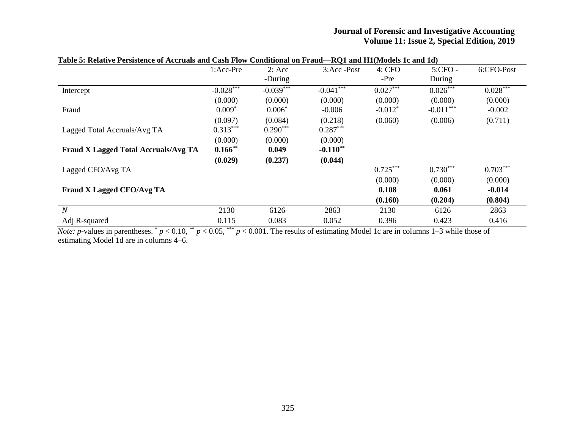|                                             | 1:Acc-Pre   | 2: Acc      | 3:Acc -Post | <b>IVALUATE INTERNATIONAL ARTISTS</b><br>4: CFO | $5:$ CFO $-$ | 6:CFO-Post |
|---------------------------------------------|-------------|-------------|-------------|-------------------------------------------------|--------------|------------|
|                                             |             | -During     |             | -Pre                                            | During       |            |
| Intercept                                   | $-0.028***$ | $-0.039***$ | $-0.041***$ | $0.027***$                                      | $0.026***$   | $0.028***$ |
|                                             | (0.000)     | (0.000)     | (0.000)     | (0.000)                                         | (0.000)      | (0.000)    |
| Fraud                                       | $0.009*$    | $0.006*$    | $-0.006$    | $-0.012*$                                       | $-0.011***$  | $-0.002$   |
|                                             | (0.097)     | (0.084)     | (0.218)     | (0.060)                                         | (0.006)      | (0.711)    |
| Lagged Total Accruals/Avg TA                | $0.313***$  | $0.290***$  | $0.287***$  |                                                 |              |            |
|                                             | (0.000)     | (0.000)     | (0.000)     |                                                 |              |            |
| <b>Fraud X Lagged Total Accruals/Avg TA</b> | $0.166$ **  | 0.049       | $-0.110**$  |                                                 |              |            |
|                                             | (0.029)     | (0.237)     | (0.044)     |                                                 |              |            |
| Lagged CFO/Avg TA                           |             |             |             | $0.725***$                                      | $0.730***$   | $0.703***$ |
|                                             |             |             |             | (0.000)                                         | (0.000)      | (0.000)    |
| Fraud X Lagged CFO/Avg TA                   |             |             |             | 0.108                                           | 0.061        | $-0.014$   |
|                                             |             |             |             | (0.160)                                         | (0.204)      | (0.804)    |
| $\boldsymbol{N}$                            | 2130        | 6126        | 2863        | 2130                                            | 6126         | 2863       |
| Adj R-squared                               | 0.115       | 0.083       | 0.052       | 0.396                                           | 0.423        | 0.416      |

#### **Table 5: Relative Persistence of Accruals and Cash Flow Conditional on Fraud—RQ1 and H1(Models 1c and 1d)**

*Note: p*-values in parentheses.  $p < 0.10$ ,  $p < 0.05$ ,  $p < 0.001$ . The results of estimating Model 1c are in columns 1–3 while those of estimating Model 1d are in columns 4–6.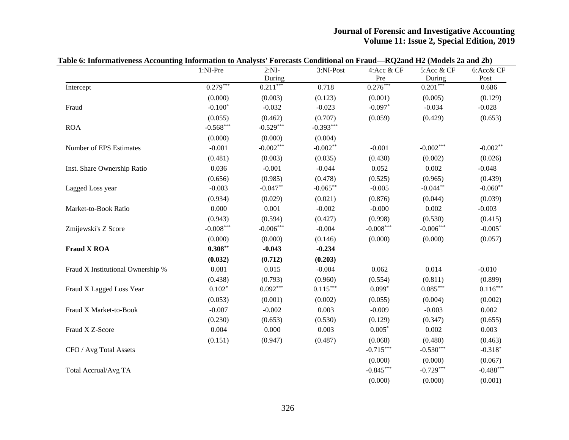|                                   | 1:NI-Pre    | $2:NI-$              | 3:NI-Post   | 4:Acc & CF        | 5:Acc & CF           | 6:Acc& CF   |
|-----------------------------------|-------------|----------------------|-------------|-------------------|----------------------|-------------|
|                                   | $0.279***$  | During<br>$0.211***$ | 0.718       | Pre<br>$0.276***$ | During<br>$0.201***$ | Post        |
| Intercept                         |             |                      |             |                   |                      | 0.686       |
|                                   | (0.000)     | (0.003)              | (0.123)     | (0.001)           | (0.005)              | (0.129)     |
| Fraud                             | $-0.100*$   | $-0.032$             | $-0.023$    | $-0.097*$         | $-0.034$             | $-0.028$    |
|                                   | (0.055)     | (0.462)              | (0.707)     | (0.059)           | (0.429)              | (0.653)     |
| <b>ROA</b>                        | $-0.568***$ | $-0.529***$          | $-0.393***$ |                   |                      |             |
|                                   | (0.000)     | (0.000)              | (0.004)     |                   |                      |             |
| Number of EPS Estimates           | $-0.001$    | $-0.002***$          | $-0.002**$  | $-0.001$          | $-0.002***$          | $-0.002**$  |
|                                   | (0.481)     | (0.003)              | (0.035)     | (0.430)           | (0.002)              | (0.026)     |
| Inst. Share Ownership Ratio       | 0.036       | $-0.001$             | $-0.044$    | 0.052             | 0.002                | $-0.048$    |
|                                   | (0.656)     | (0.985)              | (0.478)     | (0.525)           | (0.965)              | (0.439)     |
| Lagged Loss year                  | $-0.003$    | $-0.047**$           | $-0.065***$ | $-0.005$          | $-0.044**$           | $-0.060**$  |
|                                   | (0.934)     | (0.029)              | (0.021)     | (0.876)           | (0.044)              | (0.039)     |
| Market-to-Book Ratio              | 0.000       | 0.001                | $-0.002$    | $-0.000$          | 0.002                | $-0.003$    |
|                                   | (0.943)     | (0.594)              | (0.427)     | (0.998)           | (0.530)              | (0.415)     |
| Zmijewski's Z Score               | $-0.008***$ | $-0.006***$          | $-0.004$    | $-0.008***$       | $-0.006***$          | $-0.005*$   |
|                                   | (0.000)     | (0.000)              | (0.146)     | (0.000)           | (0.000)              | (0.057)     |
| <b>Fraud X ROA</b>                | $0.308**$   | $-0.043$             | $-0.234$    |                   |                      |             |
|                                   | (0.032)     | (0.712)              | (0.203)     |                   |                      |             |
| Fraud X Institutional Ownership % | 0.081       | 0.015                | $-0.004$    | 0.062             | 0.014                | $-0.010$    |
|                                   | (0.438)     | (0.793)              | (0.960)     | (0.554)           | (0.811)              | (0.899)     |
| Fraud X Lagged Loss Year          | $0.102*$    | $0.092***$           | $0.115***$  | $0.099*$          | $0.085***$           | $0.116***$  |
|                                   | (0.053)     | (0.001)              | (0.002)     | (0.055)           | (0.004)              | (0.002)     |
| Fraud X Market-to-Book            | $-0.007$    | $-0.002$             | 0.003       | $-0.009$          | $-0.003$             | 0.002       |
|                                   | (0.230)     | (0.653)              | (0.530)     | (0.129)           | (0.347)              | (0.655)     |
| Fraud X Z-Score                   | 0.004       | 0.000                | 0.003       | $0.005*$          | 0.002                | 0.003       |
|                                   | (0.151)     | (0.947)              | (0.487)     | (0.068)           | (0.480)              | (0.463)     |
| CFO / Avg Total Assets            |             |                      |             | $-0.715***$       | $-0.530***$          | $-0.318*$   |
|                                   |             |                      |             | (0.000)           | (0.000)              | (0.067)     |
| Total Accrual/Avg TA              |             |                      |             | $-0.845***$       | $-0.729***$          | $-0.488***$ |
|                                   |             |                      |             | (0.000)           | (0.000)              | (0.001)     |

# **Table 6: Informativeness Accounting Information to Analysts' Forecasts Conditional on Fraud—RQ2and H2 (Models 2a and 2b)**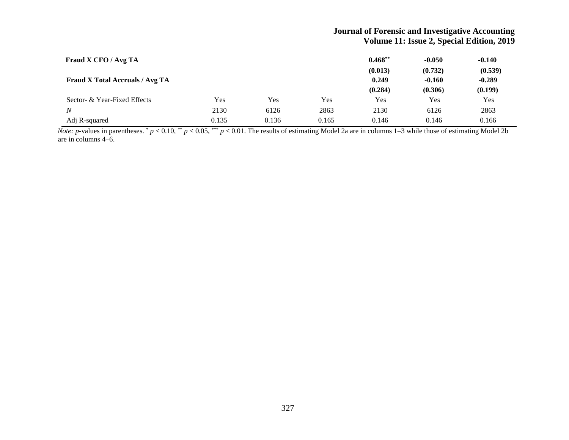| Fraud X CFO / Avg TA                   |       |       |       | $0.468**$ | $-0.050$ | $-0.140$   |
|----------------------------------------|-------|-------|-------|-----------|----------|------------|
|                                        |       |       |       | (0.013)   | (0.732)  | (0.539)    |
| <b>Fraud X Total Accruals / Avg TA</b> |       |       |       | 0.249     | $-0.160$ | $-0.289$   |
|                                        |       |       |       | (0.284)   | (0.306)  | (0.199)    |
| Sector- & Year-Fixed Effects           | Yes   | Yes   | Yes   | Yes       | Yes      | <b>Yes</b> |
| N                                      | 2130  | 6126  | 2863  | 2130      | 6126     | 2863       |
| Adj R-squared                          | 0.135 | 0.136 | 0.165 | 0.146     | 0.146    | 0.166      |

*Note: p*-values in parentheses.  $p < 0.10$ ,  $\binom{**}{r} < 0.05$ ,  $\binom{***}{r} < 0.01$ . The results of estimating Model 2a are in columns 1–3 while those of estimating Model 2b are in columns 4–6.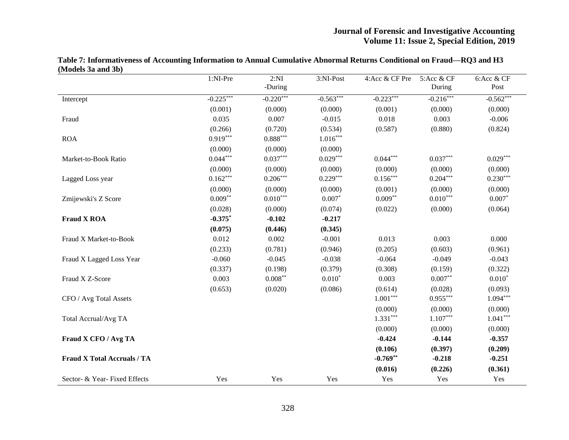|                                    | 1:NI-Pre    | 2:NI                   | 3:NI-Post   | 4:Acc & CF Pre | 5:Acc & CF  | 6:Acc & CF  |
|------------------------------------|-------------|------------------------|-------------|----------------|-------------|-------------|
|                                    |             | -During                |             |                | During      | Post        |
| Intercept                          | $-0.225***$ | $-0.220***$            | $-0.563***$ | $-0.223***$    | $-0.216***$ | $-0.562***$ |
|                                    | (0.001)     | (0.000)                | (0.000)     | (0.001)        | (0.000)     | (0.000)     |
| Fraud                              | 0.035       | 0.007                  | $-0.015$    | 0.018          | 0.003       | $-0.006$    |
|                                    | (0.266)     | (0.720)                | (0.534)     | (0.587)        | (0.880)     | (0.824)     |
| <b>ROA</b>                         | $0.919***$  | $0.888^{\ast\ast\ast}$ | $1.016***$  |                |             |             |
|                                    | (0.000)     | (0.000)                | (0.000)     |                |             |             |
| Market-to-Book Ratio               | $0.044***$  | $0.037***$             | $0.029***$  | $0.044***$     | $0.037***$  | $0.029***$  |
|                                    | (0.000)     | (0.000)                | (0.000)     | (0.000)        | (0.000)     | (0.000)     |
| Lagged Loss year                   | $0.162***$  | $0.206***$             | $0.229***$  | $0.156***$     | $0.204***$  | $0.230***$  |
|                                    | (0.000)     | (0.000)                | (0.000)     | (0.001)        | (0.000)     | (0.000)     |
| Zmijewski's Z Score                | $0.009**$   | $0.010***$             | $0.007*$    | $0.009**$      | $0.010***$  | $0.007*$    |
|                                    | (0.028)     | (0.000)                | (0.074)     | (0.022)        | (0.000)     | (0.064)     |
| <b>Fraud X ROA</b>                 | $-0.375*$   | $-0.102$               | $-0.217$    |                |             |             |
|                                    | (0.075)     | (0.446)                | (0.345)     |                |             |             |
| Fraud X Market-to-Book             | 0.012       | 0.002                  | $-0.001$    | 0.013          | 0.003       | 0.000       |
|                                    | (0.233)     | (0.781)                | (0.946)     | (0.205)        | (0.603)     | (0.961)     |
| Fraud X Lagged Loss Year           | $-0.060$    | $-0.045$               | $-0.038$    | $-0.064$       | $-0.049$    | $-0.043$    |
|                                    | (0.337)     | (0.198)                | (0.379)     | (0.308)        | (0.159)     | (0.322)     |
| Fraud X Z-Score                    | 0.003       | $0.008**$              | $0.010*$    | 0.003          | $0.007**$   | $0.010*$    |
|                                    | (0.653)     | (0.020)                | (0.086)     | (0.614)        | (0.028)     | (0.093)     |
| CFO / Avg Total Assets             |             |                        |             | $1.001***$     | $0.955***$  | $1.094***$  |
|                                    |             |                        |             | (0.000)        | (0.000)     | (0.000)     |
| Total Accrual/Avg TA               |             |                        |             | $1.331***$     | $1.107***$  | $1.041***$  |
|                                    |             |                        |             | (0.000)        | (0.000)     | (0.000)     |
| Fraud X CFO / Avg TA               |             |                        |             | $-0.424$       | $-0.144$    | $-0.357$    |
|                                    |             |                        |             | (0.106)        | (0.397)     | (0.209)     |
| <b>Fraud X Total Accruals / TA</b> |             |                        |             | $-0.769**$     | $-0.218$    | $-0.251$    |
|                                    |             |                        |             | (0.016)        | (0.226)     | (0.361)     |
| Sector- & Year-Fixed Effects       | Yes         | Yes                    | Yes         | Yes            | Yes         | Yes         |

**Table 7: Informativeness of Accounting Information to Annual Cumulative Abnormal Returns Conditional on Fraud—RQ3 and H3 (Models 3a and 3b)**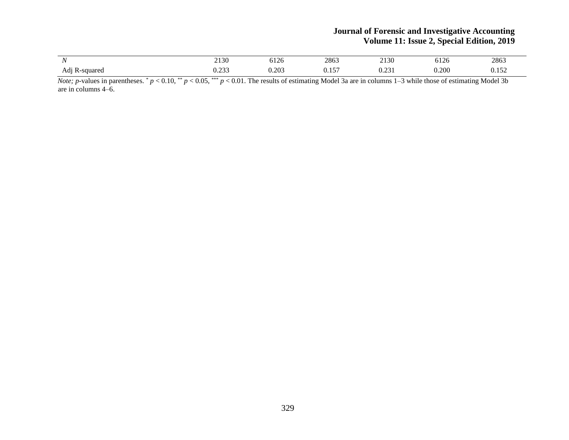| $ -$<br>$\cdot$ $\cdot$ | 0.100<br>-<br>21.00               | $-1$ $\sim$<br>U⊥∠∪ | 2863        | 0.100<br>2130             | $-1n$<br>r.<br>∪⊥∠∪ | 2863  |
|-------------------------|-----------------------------------|---------------------|-------------|---------------------------|---------------------|-------|
| K-squared<br>Ad1        | $\cdots$ $\alpha \alpha$<br>v.∠JJ | 0.203               | 157<br>0.1J | $\sim$<br><u>v. zv. 1</u> | 0.200<br>∪.∠∪∪      | 0.152 |

*Note; p*-values in parentheses. \*  $p < 0.10$ , \*\*  $p < 0.05$ , \*\*\*  $p < 0.01$ . The results of estimating Model 3a are in columns 1–3 while those of estimating Model 3b are in columns 4–6.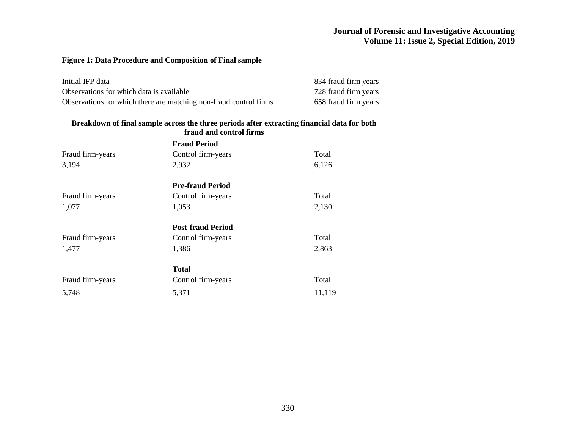## **Figure 1: Data Procedure and Composition of Final sample**

| Initial IFP data                                                  | 834 fraud firm years |
|-------------------------------------------------------------------|----------------------|
| Observations for which data is available                          | 728 fraud firm years |
| Observations for which there are matching non-fraud control firms | 658 fraud firm years |

#### **Breakdown of final sample across the three periods after extracting financial data for both**

| fraud and control firms |                          |        |  |  |  |
|-------------------------|--------------------------|--------|--|--|--|
|                         | <b>Fraud Period</b>      |        |  |  |  |
| Fraud firm-years        | Control firm-years       | Total  |  |  |  |
| 3,194                   | 2,932                    | 6,126  |  |  |  |
|                         | <b>Pre-fraud Period</b>  |        |  |  |  |
| Fraud firm-years        | Control firm-years       | Total  |  |  |  |
| 1,077                   | 1,053                    | 2,130  |  |  |  |
|                         | <b>Post-fraud Period</b> |        |  |  |  |
| Fraud firm-years        | Control firm-years       | Total  |  |  |  |
| 1,477                   | 1,386                    | 2,863  |  |  |  |
|                         | <b>Total</b>             |        |  |  |  |
| Fraud firm-years        | Control firm-years       | Total  |  |  |  |
| 5,748                   | 5,371                    | 11,119 |  |  |  |